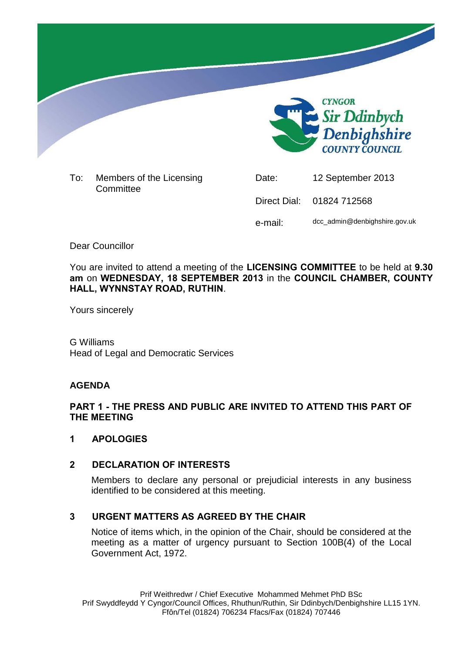

To: Members of the Licensing **Committee** 

Date: 12 September 2013 Direct Dial: 01824 712568 e-mail: dcc\_admin@denbighshire.gov.uk

Dear Councillor

You are invited to attend a meeting of the **LICENSING COMMITTEE** to be held at **9.30 am** on **WEDNESDAY, 18 SEPTEMBER 2013** in the **COUNCIL CHAMBER, COUNTY HALL, WYNNSTAY ROAD, RUTHIN**.

Yours sincerely

G Williams Head of Legal and Democratic Services

### **AGENDA**

## **PART 1 - THE PRESS AND PUBLIC ARE INVITED TO ATTEND THIS PART OF THE MEETING**

### **1 APOLOGIES**

# **2 DECLARATION OF INTERESTS**

Members to declare any personal or prejudicial interests in any business identified to be considered at this meeting.

# **3 URGENT MATTERS AS AGREED BY THE CHAIR**

Notice of items which, in the opinion of the Chair, should be considered at the meeting as a matter of urgency pursuant to Section 100B(4) of the Local Government Act, 1972.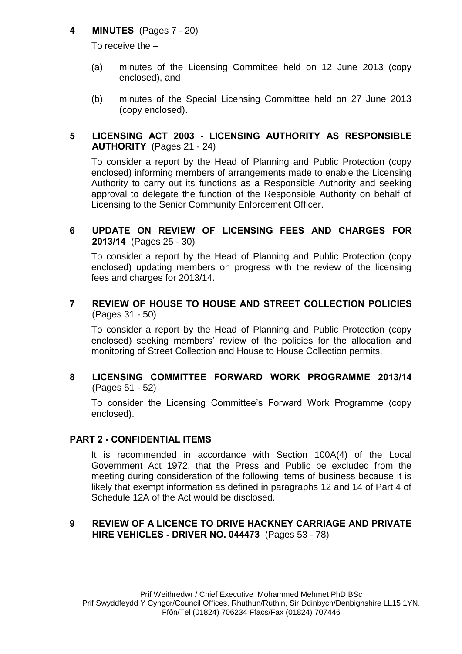## **4 MINUTES** (Pages 7 - 20)

To receive the –

- (a) minutes of the Licensing Committee held on 12 June 2013 (copy enclosed), and
- (b) minutes of the Special Licensing Committee held on 27 June 2013 (copy enclosed).

## **5 LICENSING ACT 2003 - LICENSING AUTHORITY AS RESPONSIBLE AUTHORITY** (Pages 21 - 24)

To consider a report by the Head of Planning and Public Protection (copy enclosed) informing members of arrangements made to enable the Licensing Authority to carry out its functions as a Responsible Authority and seeking approval to delegate the function of the Responsible Authority on behalf of Licensing to the Senior Community Enforcement Officer.

## **6 UPDATE ON REVIEW OF LICENSING FEES AND CHARGES FOR 2013/14** (Pages 25 - 30)

To consider a report by the Head of Planning and Public Protection (copy enclosed) updating members on progress with the review of the licensing fees and charges for 2013/14.

## **7 REVIEW OF HOUSE TO HOUSE AND STREET COLLECTION POLICIES** (Pages 31 - 50)

To consider a report by the Head of Planning and Public Protection (copy enclosed) seeking members' review of the policies for the allocation and monitoring of Street Collection and House to House Collection permits.

### **8 LICENSING COMMITTEE FORWARD WORK PROGRAMME 2013/14** (Pages 51 - 52)

To consider the Licensing Committee's Forward Work Programme (copy enclosed).

### **PART 2 - CONFIDENTIAL ITEMS**

It is recommended in accordance with Section 100A(4) of the Local Government Act 1972, that the Press and Public be excluded from the meeting during consideration of the following items of business because it is likely that exempt information as defined in paragraphs 12 and 14 of Part 4 of Schedule 12A of the Act would be disclosed.

### **9 REVIEW OF A LICENCE TO DRIVE HACKNEY CARRIAGE AND PRIVATE HIRE VEHICLES - DRIVER NO. 044473** (Pages 53 - 78)